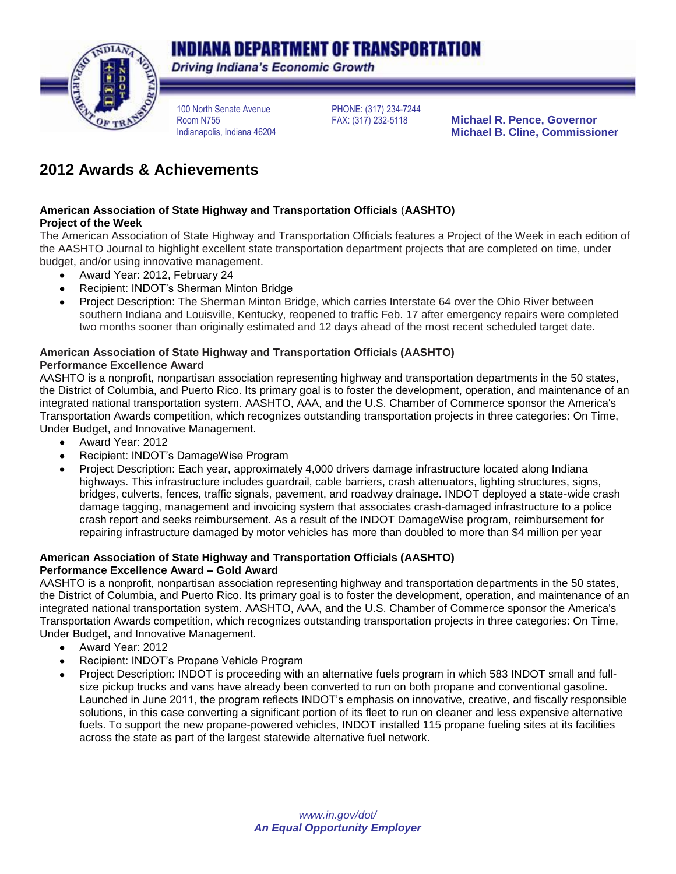# **INDIANA DEPARTMENT OF TRANSPORTATION**



**Driving Indiana's Economic Growth** 

100 North Senate Avenue Room N755 Indianapolis, Indiana 46204 PHONE: (317) 234-7244

**Michael R. Pence, Governor Michael B. Cline, Commissioner**

## **2012 Awards & Achievements**

#### **American Association of State Highway and Transportation Officials** (**AASHTO) Project of the Week**

The American Association of State Highway and Transportation Officials features a Project of the Week in each edition of the AASHTO Journal to highlight excellent state transportation department projects that are completed on time, under budget, and/or using innovative management.

- Award Year: 2012, February 24  $\bullet$
- Recipient: INDOT's Sherman Minton Bridge  $\bullet$
- Project Description: The Sherman Minton Bridge, which carries Interstate 64 over the Ohio River between southern Indiana and Louisville, Kentucky, reopened to traffic Feb. 17 after emergency repairs were completed two months sooner than originally estimated and 12 days ahead of the most recent scheduled target date.

#### **American Association of State Highway and Transportation Officials (AASHTO) Performance Excellence Award**

AASHTO is a nonprofit, nonpartisan association representing highway and transportation departments in the 50 states, the District of Columbia, and Puerto Rico. Its primary goal is to foster the development, operation, and maintenance of an integrated national transportation system. AASHTO, AAA, and the U.S. Chamber of Commerce sponsor the America's Transportation Awards competition, which recognizes outstanding transportation projects in three categories: On Time, Under Budget, and Innovative Management.

- Award Year: 2012
- Recipient: INDOT's DamageWise Program
- Project Description: Each year, approximately 4,000 drivers damage infrastructure located along Indiana highways. This infrastructure includes guardrail, cable barriers, crash attenuators, lighting structures, signs, bridges, culverts, fences, traffic signals, pavement, and roadway drainage. INDOT deployed a state-wide crash damage tagging, management and invoicing system that associates crash-damaged infrastructure to a police crash report and seeks reimbursement. As a result of the INDOT DamageWise program, reimbursement for repairing infrastructure damaged by motor vehicles has more than doubled to more than \$4 million per year

#### **American Association of State Highway and Transportation Officials (AASHTO) Performance Excellence Award – Gold Award**

AASHTO is a nonprofit, nonpartisan association representing highway and transportation departments in the 50 states, the District of Columbia, and Puerto Rico. Its primary goal is to foster the development, operation, and maintenance of an integrated national transportation system. AASHTO, AAA, and the U.S. Chamber of Commerce sponsor the America's Transportation Awards competition, which recognizes outstanding transportation projects in three categories: On Time, Under Budget, and Innovative Management.

- Award Year: 2012  $\bullet$
- Recipient: INDOT's Propane Vehicle Program
- Project Description: INDOT is proceeding with an alternative fuels program in which 583 INDOT small and fullsize pickup trucks and vans have already been converted to run on both propane and conventional gasoline. Launched in June 2011, the program reflects INDOT's emphasis on innovative, creative, and fiscally responsible solutions, in this case converting a significant portion of its fleet to run on cleaner and less expensive alternative fuels. To support the new propane-powered vehicles, INDOT installed 115 propane fueling sites at its facilities across the state as part of the largest statewide alternative fuel network.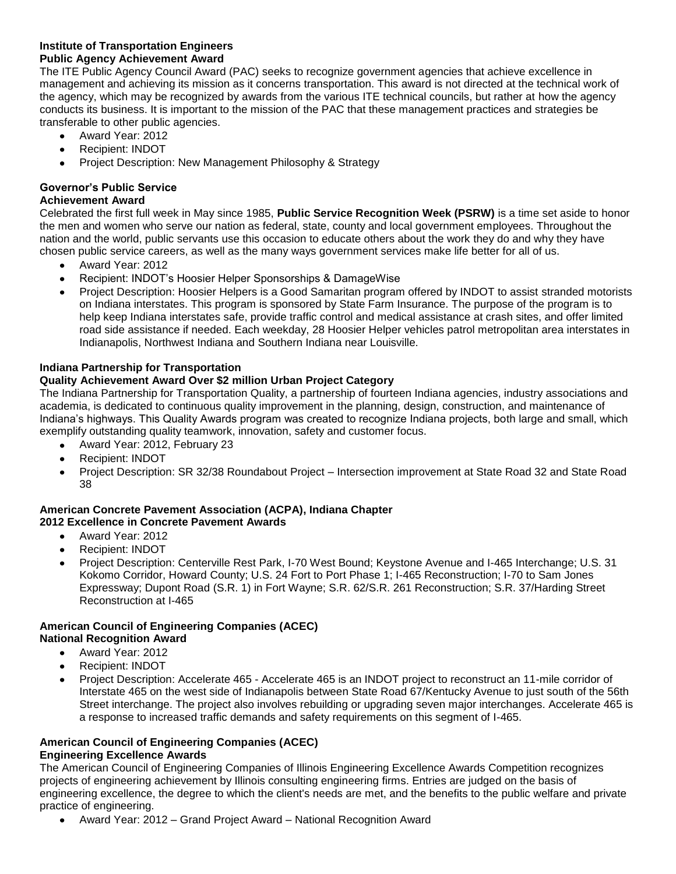#### **Institute of Transportation Engineers Public Agency Achievement Award**

The ITE Public Agency Council Award (PAC) seeks to recognize government agencies that achieve excellence in management and achieving its mission as it concerns transportation. This award is not directed at the technical work of the agency, which may be recognized by awards from the various ITE technical councils, but rather at how the agency conducts its business. It is important to the mission of the PAC that these management practices and strategies be transferable to other public agencies.

- Award Year: 2012  $\bullet$
- Recipient: INDOT
- Project Description: New Management Philosophy & Strategy

## **Governor's Public Service**

## **Achievement Award**

Celebrated the first full week in May since 1985, **Public Service Recognition Week (PSRW)** is a time set aside to honor the men and women who serve our nation as federal, state, county and local government employees. Throughout the nation and the world, public servants use this occasion to educate others about the work they do and why they have chosen public service careers, as well as the many ways government services make life better for all of us.

- $\bullet$ Award Year: 2012
- Recipient: INDOT's Hoosier Helper Sponsorships & DamageWise
- Project Description: Hoosier Helpers is a Good Samaritan program offered by INDOT to assist stranded motorists on Indiana interstates. This program is sponsored by State Farm Insurance. The purpose of the program is to help keep Indiana interstates safe, provide traffic control and medical assistance at crash sites, and offer limited road side assistance if needed. Each weekday, 28 Hoosier Helper vehicles patrol metropolitan area interstates in Indianapolis, Northwest Indiana and Southern Indiana near Louisville.

## **Indiana Partnership for Transportation**

## **Quality Achievement Award Over \$2 million Urban Project Category**

The Indiana Partnership for Transportation Quality, a partnership of fourteen Indiana agencies, industry associations and academia, is dedicated to continuous quality improvement in the planning, design, construction, and maintenance of Indiana's highways. This Quality Awards program was created to recognize Indiana projects, both large and small, which exemplify outstanding quality teamwork, innovation, safety and customer focus.

- Award Year: 2012, February 23  $\bullet$
- Recipient: INDOT  $\bullet$
- Project Description: SR 32/38 Roundabout Project Intersection improvement at State Road 32 and State Road 38

#### **American Concrete Pavement Association (ACPA), Indiana Chapter 2012 Excellence in Concrete Pavement Awards**

- Award Year: 2012  $\bullet$
- Recipient: INDOT
- Project Description: Centerville Rest Park, I-70 West Bound; Keystone Avenue and I-465 Interchange; U.S. 31 Kokomo Corridor, Howard County; U.S. 24 Fort to Port Phase 1; I-465 Reconstruction; I-70 to Sam Jones Expressway; Dupont Road (S.R. 1) in Fort Wayne; S.R. 62/S.R. 261 Reconstruction; S.R. 37/Harding Street Reconstruction at I-465

#### **American Council of Engineering Companies (ACEC) National Recognition Award**

- Award Year: 2012  $\bullet$
- Recipient: INDOT
- Project Description: Accelerate 465 Accelerate 465 is an INDOT project to reconstruct an 11-mile corridor of Interstate 465 on the west side of Indianapolis between State Road 67/Kentucky Avenue to just south of the 56th Street interchange. The project also involves rebuilding or upgrading seven major interchanges. Accelerate 465 is a response to increased traffic demands and safety requirements on this segment of I-465.

#### **American Council of Engineering Companies (ACEC) Engineering Excellence Awards**

The American Council of Engineering Companies of Illinois Engineering Excellence Awards Competition recognizes projects of engineering achievement by Illinois consulting engineering firms. Entries are judged on the basis of engineering excellence, the degree to which the client's needs are met, and the benefits to the public welfare and private practice of engineering.

Award Year: 2012 – Grand Project Award – National Recognition Award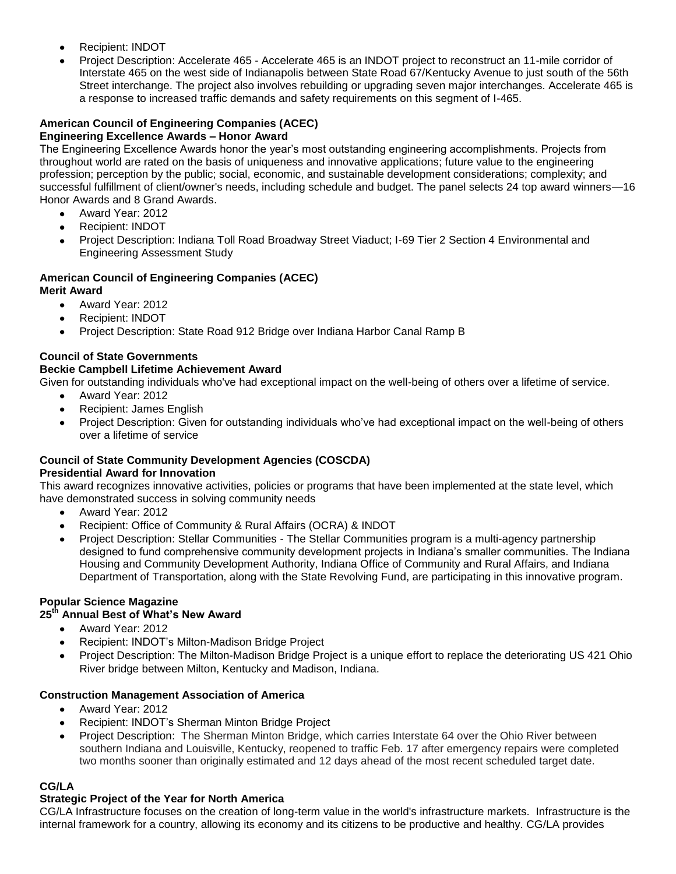- Recipient: INDOT
- Project Description: Accelerate 465 Accelerate 465 is an INDOT project to reconstruct an 11-mile corridor of Interstate 465 on the west side of Indianapolis between State Road 67/Kentucky Avenue to just south of the 56th Street interchange. The project also involves rebuilding or upgrading seven major interchanges. Accelerate 465 is a response to increased traffic demands and safety requirements on this segment of I-465.

#### **American Council of Engineering Companies (ACEC) Engineering Excellence Awards – Honor Award**

The Engineering Excellence Awards honor the year's most outstanding engineering accomplishments. Projects from throughout world are rated on the basis of uniqueness and innovative applications; future value to the engineering profession; perception by the public; social, economic, and sustainable development considerations; complexity; and successful fulfillment of client/owner's needs, including schedule and budget. The panel selects 24 top award winners—16 Honor Awards and 8 Grand Awards.

- Award Year: 2012  $\bullet$
- Recipient: INDOT
- Project Description: Indiana Toll Road Broadway Street Viaduct; I-69 Tier 2 Section 4 Environmental and  $\bullet$ Engineering Assessment Study

## **American Council of Engineering Companies (ACEC)**

## **Merit Award**

- Award Year: 2012  $\bullet$
- Recipient: INDOT
- Project Description: State Road 912 Bridge over Indiana Harbor Canal Ramp B

## **Council of State Governments**

#### **Beckie Campbell Lifetime Achievement Award**

Given for outstanding individuals who've had exceptional impact on the well-being of others over a lifetime of service.

- Award Year: 2012  $\bullet$
- Recipient: James English  $\bullet$
- Project Description: Given for outstanding individuals who've had exceptional impact on the well-being of others over a lifetime of service

## **Council of State Community Development Agencies (COSCDA) Presidential Award for Innovation**

This award recognizes innovative activities, policies or programs that have been implemented at the state level, which have demonstrated success in solving community needs

- Award Year: 2012  $\bullet$
- Recipient: Office of Community & Rural Affairs (OCRA) & INDOT  $\bullet$
- Project Description: Stellar Communities The Stellar Communities program is a multi-agency partnership designed to fund comprehensive community development projects in Indiana's smaller communities. The Indiana Housing and Community Development Authority, Indiana Office of Community and Rural Affairs, and Indiana Department of Transportation, along with the State Revolving Fund, are participating in this innovative program.

## **Popular Science Magazine**

#### **25th Annual Best of What's New Award**

- Award Year: 2012
- Recipient: INDOT's Milton-Madison Bridge Project
- Project Description: The Milton-Madison Bridge Project is a unique effort to replace the deteriorating US 421 Ohio River bridge between Milton, Kentucky and Madison, Indiana.

#### **Construction Management Association of America**

- Award Year: 2012  $\bullet$
- Recipient: INDOT's Sherman Minton Bridge Project
- Project Description: The Sherman Minton Bridge, which carries Interstate 64 over the Ohio River between southern Indiana and Louisville, Kentucky, reopened to traffic Feb. 17 after emergency repairs were completed two months sooner than originally estimated and 12 days ahead of the most recent scheduled target date.

## **CG/LA**

## **Strategic Project of the Year for North America**

CG/LA Infrastructure focuses on the creation of long-term value in the world's infrastructure markets. Infrastructure is the internal framework for a country, allowing its economy and its citizens to be productive and healthy. CG/LA provides